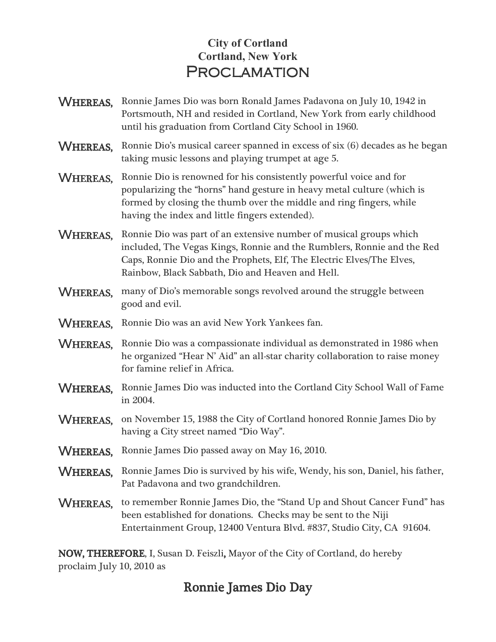## **City of Cortland Cortland, New York PROCLAMATION**

- WHEREAS, Ronnie James Dio was born Ronald James Padavona on July 10, 1942 in Portsmouth, NH and resided in Cortland, New York from early childhood until his graduation from Cortland City School in 1960.
- WHEREAS, Ronnie Dio's musical career spanned in excess of six (6) decades as he began taking music lessons and playing trumpet at age 5.
- WHEREAS, Ronnie Dio is renowned for his consistently powerful voice and for popularizing the "horns" hand gesture in heavy metal culture (which is formed by closing the thumb over the middle and ring fingers, while having the index and little fingers extended).
- WHEREAS. Ronnie Dio was part of an extensive number of musical groups which included, The Vegas Kings, Ronnie and the Rumblers, Ronnie and the Red Caps, Ronnie Dio and the Prophets, Elf, The Electric Elves/The Elves, Rainbow, Black Sabbath, Dio and Heaven and Hell.
- WHEREAS, many of Dio's memorable songs revolved around the struggle between good and evil.
- WHEREAS, Ronnie Dio was an avid New York Yankees fan.
- **WHEREAS.** Ronnie Dio was a compassionate individual as demonstrated in 1986 when he organized "Hear N' Aid" an all-star charity collaboration to raise money for famine relief in Africa.
- WHEREAS, Ronnie James Dio was inducted into the Cortland City School Wall of Fame in 2004.
- WHEREAS, on November 15, 1988 the City of Cortland honored Ronnie James Dio by having a City street named "Dio Way".
- WHEREAS, Ronnie James Dio passed away on May 16, 2010.
- WHEREAS, Ronnie James Dio is survived by his wife, Wendy, his son, Daniel, his father, Pat Padavona and two grandchildren.
- WHEREAS, to remember Ronnie James Dio, the "Stand Up and Shout Cancer Fund" has been established for donations. Checks may be sent to the Niji Entertainment Group, 12400 Ventura Blvd. #837, Studio City, CA 91604.

NOW, THEREFORE, I, Susan D. Feiszli, Mayor of the City of Cortland, do hereby proclaim July 10, 2010 as

## Ronnie James Dio Day